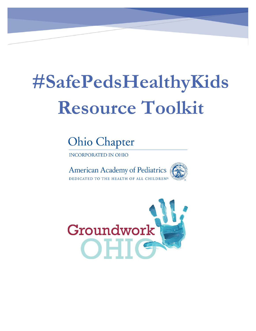# **#SafePedsHealthyKids Resource Toolkit**

**Ohio Chapter** 

**INCORPORATED IN OHIO** 



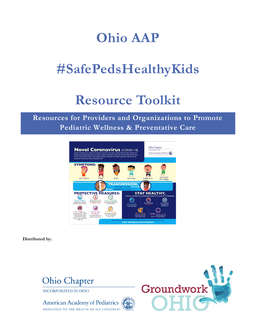# **Ohio AAP**

# **#SafePedsHealthyKids**

# **Resource Toolkit**

### **Resources for Providers and Organizations to Promote Pediatric Wellness & Preventative Care**



**Distributed by:**



DEDICATED TO THE HEALTH OF ALL CHILDREN®

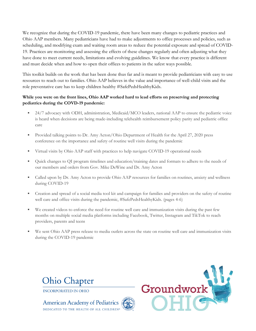We recognize that during the COVID-19 pandemic, there have been many changes to pediatric practices and Ohio AAP members. Many pediatricians have had to make adjustments to office processes and policies, such as scheduling, and modifying exam and waiting room areas to reduce the potential exposure and spread of COVID-19. Practices are monitoring and assessing the effects of these changes regularly and often adjusting what they have done to meet current needs, limitations and evolving guidelines. We know that every practice is different and must decide when and how to open their offices to patients in the safest ways possible.

This toolkit builds on the work that has been done thus far and is meant to provide pediatricians with easy to use resources to reach out to families. Ohio AAP believes in the value and importance of well-child visits and the role preventative care has to keep children healthy #SafePedsHealthyKids.

### **While you were on the front lines, Ohio AAP worked hard to lead efforts on preserving and protecting pediatrics during the COVD-19 pandemic:**

- 24/7 advocacy with ODH, administration, Medicaid/MCO leaders, national AAP to ensure the pediatric voice is heard when decisions are being made-including telehealth reimbursement policy parity and pediatric office care
- Provided talking points to Dr. Amy Acton/Ohio Department of Health for the April 27, 2020 press conference on the importance and safety of routine well visits during the pandemic
- Virtual visits by Ohio AAP staff with practices to help navigate COVID-19 operational needs
- Quick changes to QI program timelines and education/training dates and formats to adhere to the needs of our members and orders from Gov. Mike DeWine and Dr. Amy Acton
- Called upon by Dr. Amy Acton to provide Ohio AAP resources for families on routines, anxiety and wellness during COVID-19
- Creation and spread of a social media tool kit and campaign for families and providers on the safety of routine well care and office visits during the pandemic, #SafePedsHealthyKids. (pages 4-6)
- We created videos to enforce the need for routine well care and immunization visits during the past few months on multiple social media platforms including Facebook, Twitter, Instagram and TikTok to reach providers, parents and teens
- We sent Ohio AAP press release to media outlets across the state on routine well care and immunization visits during the COVID-19 pandemic





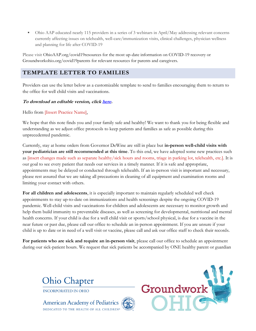Ohio AAP educated nearly 115 providers in a series of 3 webinars in April/May addressing relevant concerns currently affecting issues on telehealth, well-care/immunization visits, clinical challenges, physician wellness and planning for life after COVID-19

Please visit OhioAAP.org/covid19resources for the most up-date information on COVID-19 recovery or Groundworkohio.org/covid19parents for relevant resources for parents and caregivers.

### **TEMPLATE LETTER TO FAMILIES**

Providers can use the letter below as a customizable template to send to families encouraging them to return to the office for well child visits and vaccinations.

### **To download an editable version, clic[k here.](http://ohioaap.org/wp-content/uploads/2020/05/Well-Care-Template-Letter.docx)**

Hello from [Insert Practice Name],

We hope that this note finds you and your family safe and healthy! We want to thank you for being flexible and understanding as we adjust office protocols to keep patients and families as safe as possible during this unprecedented pandemic.

Currently, stay at home orders from Governor DeWine are still in place but **in-person well-child visits with your pediatrician are still recommended at this time**. To this end, we have adopted some new practices such as [insert changes made such as separate healthy/sick hours and rooms, triage in parking lot, telehealth, etc.]. It is our goal to see every patient that needs our services in a timely manner. If it is safe and appropriate, appointments may be delayed or conducted through telehealth. If an in-person visit is important and necessary, please rest assured that we are taking all precautions in cleaning of all equipment and examination rooms and limiting your contact with others.

**For all children and adolescents**, it is especially important to maintain regularly scheduled well check appointments to stay up-to-date on immunizations and health screenings despite the ongoing COVID-19 pandemic. Well-child visits and vaccinations for children and adolescents are necessary to monitor growth and help them build immunity to preventable diseases, as well as screening for developmental, nutritional and mental health concerns. If your child is due for a well child visit or sports/school physical, is due for a vaccine in the near future or past due, please call our office to schedule an in-person appointment. If you are unsure if your child is up to date or in need of a well visit or vaccine, please call and ask our office staff to check their records.

**For patients who are sick and require an in-person visit**, please call our office to schedule an appointment during our sick-patient hours. We request that sick patients be accompanied by ONE healthy parent or guardian



**INCORPORATED IN OHIO** 

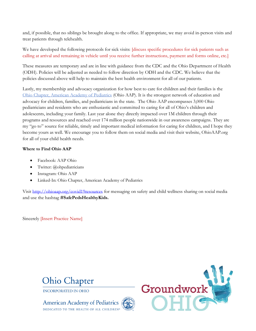and, if possible, that no siblings be brought along to the office. If appropriate, we may avoid in-person visits and treat patients through telehealth.

We have developed the following protocols for sick visits: [discuss specific procedures for sick patients such as calling at arrival and remaining in vehicle until you receive further instructions, payment and forms online, etc.]

These measures are temporary and are in line with guidance from the CDC and the Ohio Department of Health (ODH). Policies will be adjusted as needed to follow direction by ODH and the CDC. We believe that the policies discussed above will help to maintain the best health environment for all of our patients.

Lastly, my membership and advocacy organization for how best to care for children and their families is the [Ohio Chapter, American Academy of Pediatrics](http://ohioaap.org/) (Ohio AAP). It is the strongest network of education and advocacy for children, families, and pediatricians in the state. The Ohio AAP encompasses 3,000 Ohio pediatricians and residents who are enthusiastic and committed to caring for all of Ohio's children and adolescents, including your family. Last year alone they directly impacted over 1M children through their programs and resources and reached over 174 million people nationwide in our awareness campaigns. They are my "go to" source for reliable, timely and important medical information for caring for children, and I hope they become yours as well. We encourage you to follow them on social media and visit their website, OhioAAP.org for all of your child health needs.

### **Where to Find Ohio AAP**

- Facebook: AAP Ohio
- Twitter: @ohpediatricians
- Instagram: Ohio AAP
- Linked-In: Ohio Chapter, American Academy of Pediatrics

Visit<http://ohioaap.org/covid19resources> for messaging on safety and child wellness sharing on social media and use the hashtag **#SafePedsHealthyKids.**

Sincerely [Insert Practice Name]





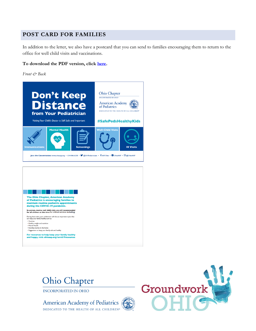### **POST CARD FOR FAMILIES**

In addition to the letter, we also have a postcard that you can send to families encouraging them to return to the office for well child visits and vaccinations.

#### **To download the PDF version, click [here.](http://ohioaap.org/wp-content/uploads/2020/05/AAP_Covid_Postcard43.pdf)**

*Front & Back*



The Ohio Chapter, American Academy<br>of Pediatrics is encouraging families to or reductives is encouraging namines to<br>maintain routine pediatric appointments<br>during the COVID-19 pandemic.

- 1

In-person, routine well child visits are still recommended<br>for all children at this time for critical services including: During these visits, your pediatrician will discuss important topics that<br>can keep your family healthy, such as:

\* Vaccines<br>\* Healthy weight and nutrition<br>\* Mental Health \* Avoiding injuries in the home

. Suggestions to keep your family safe and healthy

For resources to help keep your family healthy<br>and happy, visit: ohioaap.org/covid | 9resources



**INCORPORATED IN OHIO** 

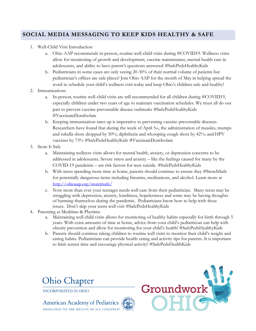### **SOCIAL MEDIA MESSAGING TO KEEP KIDS HEALTHY & SAFE**

- 1. Well-Child Visit Introduction
	- a. Ohio AAP recommends in-person, routine well-child visits during #COVID19. Wellness visits allow for monitoring of growth and development, vaccine maintenance, mental health care in adolescents, and ability to have parent's questions answered [#SafePedsHealthyKids](https://www.facebook.com/hashtag/safepedshealthykids?source=feed_text&epa=HASHTAG&__xts__%5B0%5D=68.ARA20r3HAQyfU3ycLPVdyInXerb4FrtJ9ku_mANoB5QVOb6Ki-r5hCMCoCH0ZynJoaZFbUOpc2Wo9j7ddtz9J8yf-XwrIavl3a-hzcx515pm-31DLBci511NCcs7YWGN-IjQx_KFBq4SoU3ji_k5WNSCVIf6BBpArHJeu7YTagyaIR3SiAVQ13KwcM5ntJFsah5A_8tzeg8XWxniizVfPUDar77AZoVxwxhWaKYkMkFSh0kdq7rgDSdpxh_sJC9rWfUe0cr0WBhFcSyw8RFLtStMZNQUIJxqb2e8myFUqXmlzvKeF0gFyZvoZ62UfSUwQEYqj6lENVDZWftPH9VGq_C3R1xWcqfuHgU&__tn__=%2ANK-R)
	- b. Pediatricians in some cases are only seeing 20-30% of their normal volume of patients but pediatrician's offices are safe places! Join Ohio AAP for the month of May in helping spread the word to schedule your child's wellness visit today and keep Ohio's children safe and healthy!
- 2. Immunizations
	- a. In-person, routine well-child visits are still recommended for all children during #COVID19, especially children under two years of age to maintain vaccination schedules. We must all do our part to prevent vaccine-preventable disease outbreaks [#SafePedsHealthyKids](https://www.facebook.com/hashtag/safepedshealthykids?source=feed_text&epa=HASHTAG&__xts__%5B0%5D=68.ARA20r3HAQyfU3ycLPVdyInXerb4FrtJ9ku_mANoB5QVOb6Ki-r5hCMCoCH0ZynJoaZFbUOpc2Wo9j7ddtz9J8yf-XwrIavl3a-hzcx515pm-31DLBci511NCcs7YWGN-IjQx_KFBq4SoU3ji_k5WNSCVIf6BBpArHJeu7YTagyaIR3SiAVQ13KwcM5ntJFsah5A_8tzeg8XWxniizVfPUDar77AZoVxwxhWaKYkMkFSh0kdq7rgDSdpxh_sJC9rWfUe0cr0WBhFcSyw8RFLtStMZNQUIJxqb2e8myFUqXmlzvKeF0gFyZvoZ62UfSUwQEYqj6lENVDZWftPH9VGq_C3R1xWcqfuHgU&__tn__=%2ANK-R) #VaccinateDontIsolate
	- b. Keeping immunization rates up is imperative to preventing vaccine-preventable diseases. Researchers have found that during the week of April 5th, the administration of measles, mumps and rubella shots dropped by 50%; diphtheria and whooping cough shots by 42%; and HPV vaccines by 73% [#SafePedsHealthyKids](https://www.facebook.com/hashtag/safepedshealthykids?source=feed_text&epa=HASHTAG&__xts__%5B0%5D=68.ARA20r3HAQyfU3ycLPVdyInXerb4FrtJ9ku_mANoB5QVOb6Ki-r5hCMCoCH0ZynJoaZFbUOpc2Wo9j7ddtz9J8yf-XwrIavl3a-hzcx515pm-31DLBci511NCcs7YWGN-IjQx_KFBq4SoU3ji_k5WNSCVIf6BBpArHJeu7YTagyaIR3SiAVQ13KwcM5ntJFsah5A_8tzeg8XWxniizVfPUDar77AZoVxwxhWaKYkMkFSh0kdq7rgDSdpxh_sJC9rWfUe0cr0WBhFcSyw8RFLtStMZNQUIJxqb2e8myFUqXmlzvKeF0gFyZvoZ62UfSUwQEYqj6lENVDZWftPH9VGq_C3R1xWcqfuHgU&__tn__=%2ANK-R) #VaccinateDontIsolate
- 3. Store It Safe
	- a. Maintaining wellness visits allows for mental health, anxiety, or depression concerns to be addressed in adolescents. Severe stress and anxiety – like the feelings caused for many by the COVID-19 pandemic – are risk factors for teen suicide. [#SafePedsHealthyKids](https://www.facebook.com/hashtag/safepedshealthykids?source=feed_text&epa=HASHTAG&__xts__%5B0%5D=68.ARA20r3HAQyfU3ycLPVdyInXerb4FrtJ9ku_mANoB5QVOb6Ki-r5hCMCoCH0ZynJoaZFbUOpc2Wo9j7ddtz9J8yf-XwrIavl3a-hzcx515pm-31DLBci511NCcs7YWGN-IjQx_KFBq4SoU3ji_k5WNSCVIf6BBpArHJeu7YTagyaIR3SiAVQ13KwcM5ntJFsah5A_8tzeg8XWxniizVfPUDar77AZoVxwxhWaKYkMkFSh0kdq7rgDSdpxh_sJC9rWfUe0cr0WBhFcSyw8RFLtStMZNQUIJxqb2e8myFUqXmlzvKeF0gFyZvoZ62UfSUwQEYqj6lENVDZWftPH9VGq_C3R1xWcqfuHgU&__tn__=%2ANK-R)
	- b. With teens spending more time at home, parents should continue to ensure they #StoreItSafe for potentially dangerous items including firearms, medications, and alcohol. Learn more at <http://ohioaap.org/storeitsafe/>
	- c. Now more than ever your teenager needs well care from their pediatrician. Many teens may be struggling with depression, anxiety, loneliness, hopelessness and some may be having thoughts of harming themselves during the pandemic. Pediatricians know how to help with these issues. Don't skip your teens well visit [#SafePedsHealthyKids](https://www.facebook.com/hashtag/safepedshealthykids?source=feed_text&epa=HASHTAG&__xts__%5B0%5D=68.ARA20r3HAQyfU3ycLPVdyInXerb4FrtJ9ku_mANoB5QVOb6Ki-r5hCMCoCH0ZynJoaZFbUOpc2Wo9j7ddtz9J8yf-XwrIavl3a-hzcx515pm-31DLBci511NCcs7YWGN-IjQx_KFBq4SoU3ji_k5WNSCVIf6BBpArHJeu7YTagyaIR3SiAVQ13KwcM5ntJFsah5A_8tzeg8XWxniizVfPUDar77AZoVxwxhWaKYkMkFSh0kdq7rgDSdpxh_sJC9rWfUe0cr0WBhFcSyw8RFLtStMZNQUIJxqb2e8myFUqXmlzvKeF0gFyZvoZ62UfSUwQEYqj6lENVDZWftPH9VGq_C3R1xWcqfuHgU&__tn__=%2ANK-R)
- 4. Parenting at Mealtime & Playtime
	- a. Maintaining well child visits allows for monitoring of healthy habits especially for birth through 5 years. With extra amounts of time at home, advice from your child's pediatrician can help with obesity prevention and allow for monitoring for your child's health! #SafePedsHealthyKids
	- b. Parents should continue taking children to routine well visits to monitor their child's weight and eating habits. Pediatricians can provide health eating and activity tips for parents. It is important to limit screen time and encourage physical activity! #SafePedsHealthKids





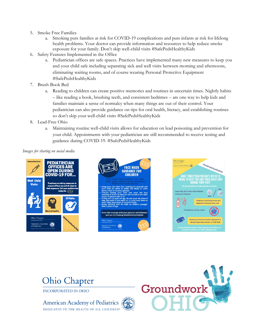- 5. Smoke Free Families
	- a. Smoking puts families at risk for COVID-19 complications and puts infants at risk for lifelong health problems. Your doctor can provide information and resources to help reduce smoke exposure for your family. Don't skip well-child visits #SafePedsHealthyKids
- 6. Safety Features Implemented in the Office
	- a. Pediatrician offices are safe spaces. Practices have implemented many new measures to keep you and your child safe including separating sick and well visits between morning and afternoons, eliminating waiting rooms, and of course wearing Personal Protective Equipment #SafePedsHealthyKids
- 7. Brush Book Bed
	- a. Reading to children can create positive memories and routines in uncertain times. Nightly habits – like reading a book, brushing teeth, and consistent bedtimes – are one way to help kids and families maintain a sense of normalcy when many things are out of their control. Your pediatrician can also provide guidance on tips for oral health, literacy, and establishing routines so don't skip your well-child visits #SafePedsHealthyKids
- 8. Lead-Free Ohio
	- a. Maintaining routine well-child visits allows for education on lead poisoning and prevention for your child. Appointments with your pediatrician are still recommended to receive testing and guidance during COVID-19. #SafePedsHealthyKids

*Images for sharing on social media*









**INCORPORATED IN OHIO** 

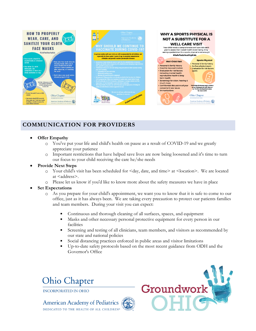

### **COMMUNICATION FOR PROVIDERS**

- **Offer Empathy**
	- o You've put your life and child's health on pause as a result of COVID-19 and we greatly appreciate your patience
	- o Important restrictions that have helped save lives are now being loosened and it's time to turn our focus to your child receiving the care he/she needs
- **Provide Next Steps**
	- o Your child's visit has been scheduled for <day, date, and time> at <location>. We are located at <address>.
	- o Please let us know if you'd like to know more about the safety measures we have in place
- **Set Expectations** 
	- o As you prepare for your child's appointment, we want you to know that it is safe to come to our office, just as it has always been. We are taking every precaution to protect our patients families and team members. During your visit you can expect:
		- Continuous and thorough cleaning of all surfaces, spaces, and equipment
		- Masks and other necessary personal protective equipment for every person in our facilities
		- **Exercise 1** Screening and testing of all clinicians, team members, and visitors as recommended by our state and national policies
		- Social distancing practices enforced in public areas and visitor limitations
		- Up-to-date safety protocols based on the most recent guidance from ODH and the Governor's Office

### **Ohio Chapter**



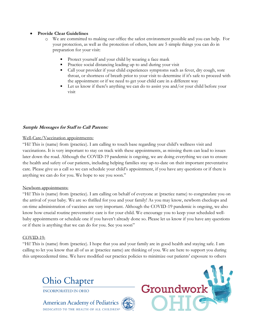### • **Provide Clear Guidelines**

- We are committed to making our office the safest environment possible and you can help. For your protection, as well as the protection of others, here are 5 simple things you can do in preparation for your visit:
	- Protect yourself and your child by wearing a face mask
	- Practice social distancing leading up to and during your visit
	- Call your provider if your child experiences symptoms such as fever, dry cough, sore throat, or shortness of breath prior to your visit to determine if it's safe to proceed with the appointment or if we need to get your child care in a different way
	- **•** Let us know if there's anything we can do to assist you and/or your child before your visit

### **Sample Messages for Staff to Call Parents:**

### Well-Care/Vaccination appointments:

"Hi! This is (name) from (practice). I am calling to touch base regarding your child's wellness visit and vaccinations. It is very important to stay on track with these appointments, as missing them can lead to issues later down the road. Although the COVID-19 pandemic is ongoing, we are doing everything we can to ensure the health and safety of our patients, including helping families stay up-to-date on their important preventative care. Please give us a call so we can schedule your child's appointment, if you have any questions or if there is anything we can do for you. We hope to see you soon."

### Newborn appointments:

"Hi! This is (name) from (practice). I am calling on behalf of everyone at (practice name) to congratulate you on the arrival of your baby. We are so thrilled for you and your family! As you may know, newborn checkups and on-time administration of vaccines are very important. Although the COVID-19 pandemic is ongoing, we also know how crucial routine preventative care is for your child. We encourage you to keep your scheduled wellbaby appointments or schedule one if you haven't already done so. Please let us know if you have any questions or if there is anything that we can do for you. See you soon"

### COVID-19:

"Hi! This is (name) from (practice). I hope that you and your family are in good health and staying safe. I am calling to let you know that all of us at (practice name) are thinking of you. We are here to support you during this unprecedented time. We have modified our practice policies to minimize our patients' exposure to others



**INCORPORATED IN OHIO** 

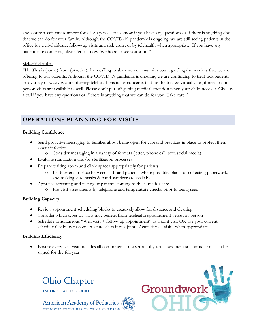and assure a safe environment for all. So please let us know if you have any questions or if there is anything else that we can do for your family. Although the COVID-19 pandemic is ongoing, we are still seeing patients in the office for well-childcare, follow-up visits and sick visits, or by telehealth when appropriate. If you have any patient care concerns, please let us know. We hope to see you soon."

### Sick-child visits:

"Hi! This is (name) from (practice). I am calling to share some news with you regarding the services that we are offering to our patients. Although the COVID-19 pandemic is ongoing, we are continuing to treat sick patients in a variety of ways. We are offering telehealth visits for concerns that can be treated virtually, or, if need be, inperson visits are available as well. Please don't put off getting medical attention when your child needs it. Give us a call if you have any questions or if there is anything that we can do for you. Take care."

### **OPERATIONS PLANNING FOR VISITS**

### **Building Confidence**

- Send proactive messaging to families about being open for care and practices in place to protect them assent infection
	- o Consider messaging in a variety of formats (letter, phone call, text, social media)
- Evaluate sanitization and/or sterilization processes
- Prepare waiting room and clinic spaces appropriately for patients
	- o I.e. Barriers in place between staff and patients where possible, plans for collecting paperwork, and making sure masks & hand sanitizer are available
- Appraise screening and testing of patients coming to the clinic for care
	- o Pre-visit assessments by telephone and temperature checks prior to being seen

### **Building Capacity**

- Review appointment scheduling blocks to creatively allow for distance and cleaning
- Consider which types of visits may benefit from telehealth appointment versus in-person
- Schedule simultaneous "Well visit + follow-up appointment" as a joint visit OR use your current schedule flexibility to convert acute visits into a joint "Acute + well visit" when appropriate

### **Building Efficiency**

• Ensure every well visit includes all components of a sports physical assessment so sports forms can be signed for the full year